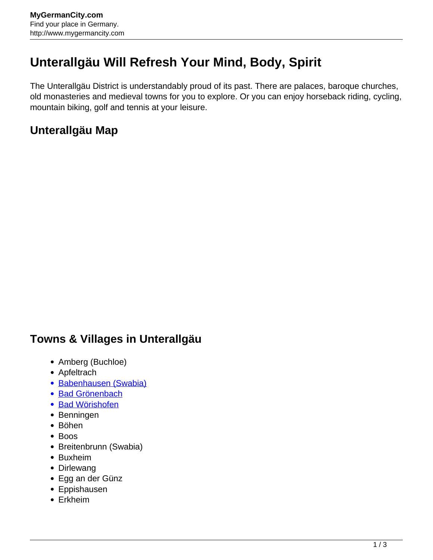## **Unterallgäu Will Refresh Your Mind, Body, Spirit**

The Unterallgäu District is understandably proud of its past. There are palaces, baroque churches, old monasteries and medieval towns for you to explore. Or you can enjoy horseback riding, cycling, mountain biking, golf and tennis at your leisure.

## **Unterallgäu Map**

## **Towns & Villages in Unterallgäu**

- Amberg (Buchloe)
- Apfeltrach
- [Babenhausen \(Swabia\)](http://www.mygermancity.com/babenhausen-swabia)
- [Bad Grönenbach](http://www.mygermancity.com/bad-groenenbach)
- [Bad Wörishofen](http://www.mygermancity.com/bad-woerishofen)
- Benningen
- Böhen
- Boos
- Breitenbrunn (Swabia)
- Buxheim
- Dirlewang
- Egg an der Günz
- Eppishausen
- Erkheim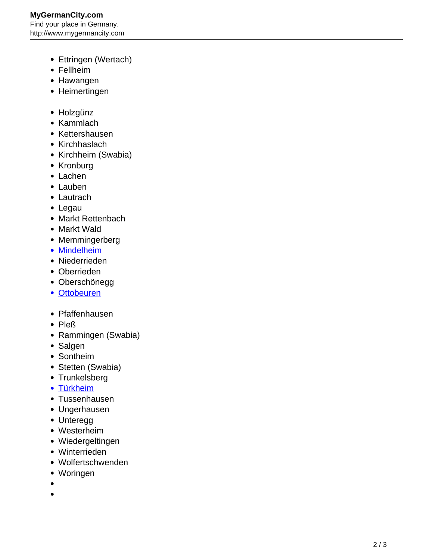- Ettringen (Wertach)
- Fellheim
- Hawangen
- Heimertingen
- Holzgünz
- Kammlach
- Kettershausen
- Kirchhaslach
- Kirchheim (Swabia)
- Kronburg
- Lachen
- Lauben
- Lautrach
- Legau
- Markt Rettenbach
- Markt Wald
- Memmingerberg
- [Mindelheim](http://www.mygermancity.com/mindelheim)
- Niederrieden
- Oberrieden
- Oberschönegg
- [Ottobeuren](http://www.mygermancity.com/ottobeuren)
- Pfaffenhausen
- Pleß
- Rammingen (Swabia)
- Salgen
- Sontheim
- Stetten (Swabia)
- Trunkelsberg
- [Türkheim](http://www.mygermancity.com/tuerkheim)
- Tussenhausen
- Ungerhausen
- Unteregg
- Westerheim
- Wiedergeltingen
- Winterrieden
- Wolfertschwenden
- Woringen
- 
- $\bullet$